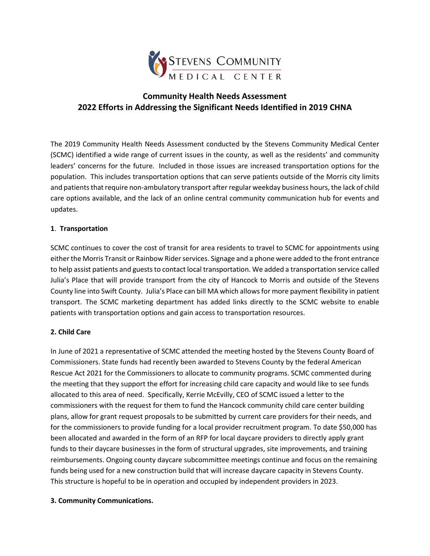

## **Community Health Needs Assessment 2022 Efforts in Addressing the Significant Needs Identified in 2019 CHNA**

The 2019 Community Health Needs Assessment conducted by the Stevens Community Medical Center (SCMC) identified a wide range of current issues in the county, as well as the residents' and community leaders' concerns for the future. Included in those issues are increased transportation options for the population. This includes transportation options that can serve patients outside of the Morris city limits and patients that require non-ambulatory transport after regular weekday business hours, the lack of child care options available, and the lack of an online central community communication hub for events and updates.

## **1**. **Transportation**

SCMC continues to cover the cost of transit for area residents to travel to SCMC for appointments using either the Morris Transit or Rainbow Rider services. Signage and a phone were added to the front entrance to help assist patients and guests to contact local transportation. We added a transportation service called Julia's Place that will provide transport from the city of Hancock to Morris and outside of the Stevens County line into Swift County. Julia's Place can bill MA which allows for more payment flexibility in patient transport. The SCMC marketing department has added links directly to the SCMC website to enable patients with transportation options and gain access to transportation resources.

## **2. Child Care**

In June of 2021 a representative of SCMC attended the meeting hosted by the Stevens County Board of Commissioners. State funds had recently been awarded to Stevens County by the federal American Rescue Act 2021 for the Commissioners to allocate to community programs. SCMC commented during the meeting that they support the effort for increasing child care capacity and would like to see funds allocated to this area of need. Specifically, Kerrie McEvilly, CEO of SCMC issued a letter to the commissioners with the request for them to fund the Hancock community child care center building plans, allow for grant request proposals to be submitted by current care providers for their needs, and for the commissioners to provide funding for a local provider recruitment program. To date \$50,000 has been allocated and awarded in the form of an RFP for local daycare providers to directly apply grant funds to their daycare businesses in the form of structural upgrades, site improvements, and training reimbursements. Ongoing county daycare subcommittee meetings continue and focus on the remaining funds being used for a new construction build that will increase daycare capacity in Stevens County. This structure is hopeful to be in operation and occupied by independent providers in 2023.

## **3. Community Communications.**